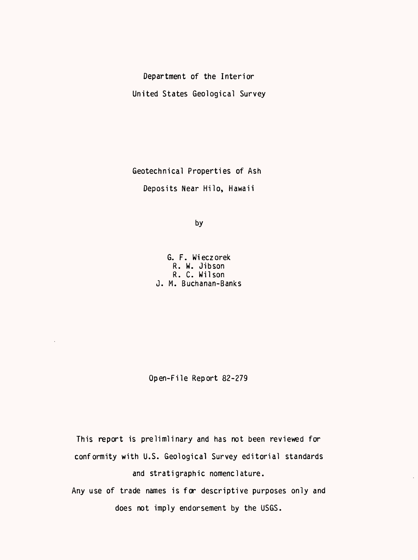Department of the Interior United States Geological Survey

Geotechnical Properties of Ash Deposits Near Hilo, Hawaii

by

G. F. Wieczorek R. W. Jibson R. C. Wilson J. M. Buchanan-Banks

Open-File Report 82-279

 $\bar{z}$ 

This report is prelimlinary and has not been reviewed for conformity with U.S. Geological Survey editorial standards and stratigraphic nomenclature.

Any use of trade names is for descriptive purposes only and does not imply endorsement by the USGS.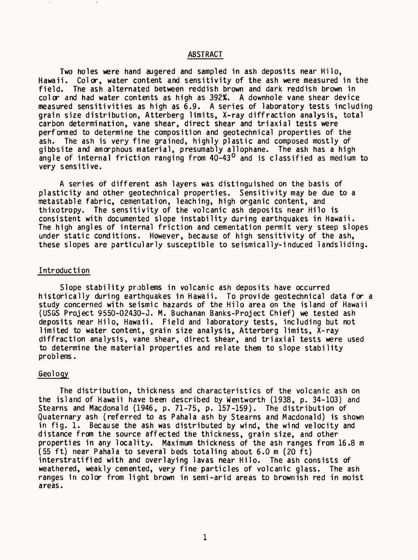## ABSTRACT

Two holes were hand augered and sampled in ash deposits near Hilo, Hawaii. Color, water content and sensitivity of the ash were measured in the field. The ash alternated between reddish brown and dark reddish brown in color and had water contents as high as 392%. A downhole vane shear device measured sensitivities as high as 6.9. A series of laboratory tests including grain size distribution, Atterberg limits, X-ray diffraction analysis, total carbon determination, vane shear, direct shear and triaxial tests were performed to determine the composition and geotechnical properties of the ash. The ash is very fine grained, highly plastic and composed mostly of gibbsite and amorphous material, presumably allophane. The ash has a high angle of internal friction ranging from 40-43<sup>0</sup> and is classified as medium to very sensitive.

A series of different ash layers was distinguished on the basis of plasticity and other geotechnical properties. Sensitivity may be due to a metastable fabric, cementation, leaching, high organic content, and thixotropy. The sensitivity of the volcanic ash deposits near Hilo is consistent with documented slope instability during earthquakes in Hawaii. The high angles of internal friction and cementation permit very steep slopes under static conditions. However, because of high sensitivity of the ash, these slopes are particularly susceptible to seismically-induced landsliding.

#### Introduction

Slope stability problems in volcanic ash deposits have occurred historically during earthquakes in Hawaii. To provide geotechnical data for a study concerned with seismic hazards of the Hilo area on the island of Hawaii (USGS Project 9550-02430-J. M. Buchanan Banks-Project Chief) we tested ash deposits near Hilo, Hawaii. Field and laboratory tests, including but not limited to water content, grain size analysis, Atterberg limits, X-ray diffraction analysis, vane shear, direct shear, and triaxial tests were used to determine the material properties and relate them to slope stability problems.

## Geology

The distribution, thickness and characteristics of the volcanic ash on the island of Hawaii have been described by Wentworth (1938, p. 34-103) and Stearns and Macdonald (1946, p. 71-75, p. 157-159). The distribution of Quaternary ash (referred to as Pahala ash by Stearns and Macdonald) is shown in fig. 1. Because the ash was distributed by wind, the wind velocity and distance from the source affected the thickness, grain size, and other properties in any locality. Maximum thickness of the ash ranges from 16.8 m (55 ft) near Pahala to several beds totaling about 6.0 m (20 ft) interstratified with and overlaying lavas near Hilo. The ash consists of weathered, weakly cemented, very fine particles of volcanic glass. The ash ranges in color from light brown in semi-arid areas to brownish red in moist areas.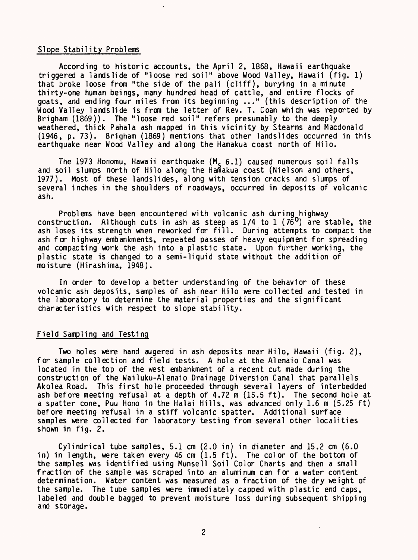# Slope Stability Problems

According to historic accounts, the April 2, 1868, Hawaii earthquake triggered a landslide of "loose red soil" above Wood Valley, Hawaii (fig. 1) that broke loose from "the side of the pali (cliff), burying in a minute thirty-one human beings, many hundred head of cattle, and entire flocks of goats, and ending four miles from its beginning ..." (this description of the Wood Valley landslide is from the letter of Rev. T. Coan which was reported by Brigham (1869)). The "loose red soil" refers presumably to the deeply weathered, thick Pahala ash mapped in this vicinity by Stearns and Macdonald (1946, p. 73). Brigham (1869) mentions that other landslides occurred in this earthquake near Wood Valley and along the Hamakua coast north of Hilo.

The 1973 Honomu, Hawaii earthquake  $(M_c 6.1)$  caused numerous soil falls and soil slumps north of Hilo along the Hamakua coast (Nielson and others, 1977). Most of these landslides, along with tension cracks and slumps of several inches in the shoulders of roadways, occurred in deposits of volcanic ash.

Problems have been encountered with volcanic ash during highway construction. Although cuts in ash as steep as  $1/4$  to  $1$  ( $7\tilde{6}^0$ ) are stable, the ash loses its strength when reworked for fill. During attempts to compact the ash for highway embankments, repeated passes of heavy equipment for spreading and compacting work the ash into a plastic state. Upon further working, the plastic state is changed to a semi-liquid state without the addition of moisture (Hirashima, 1948).

In order to develop a better understanding of the behavior of these volcanic ash deposits, samples of ash near Hilo were collected and tested in the laboratory to determine the material properties and the significant characteristics with respect to slope stability.

# Field Sampling and Testing

Two holes were hand augered in ash deposits near Hilo, Hawaii (fig. 2), for sample collection and field tests. A hole at the Alenaio Canal was located in the top of the west embankment of a recent cut made during the construction of the Wailuku-Alenaio Drainage Diversion Canal that parallels Akolea Road. This first hole proceeded through several layers of interbedded ash before meeting refusal at a depth of 4.72 m (15.5 ft). The second hole at a spatter cone, Puu Hono in the Halai Hills, was advanced only 1.6 m (5.25 ft) before meeting refusal in a stiff volcanic spatter. Additional surface samples were collected for laboratory testing from several other localities shown in fig. 2.

Cylindrical tube samples, 5.1 cm (2.0 in) in diameter and 15.2 cm (6.0 in) in length, were taken every 46 cm (1.5 ft). The color of the bottom of the samples was identified using Munsell Soil Color Charts and then a small fraction of the sample was scraped into an aluminum can for a water content determination. Water content was measured as a fraction of the dry weight of the sample. The tube samples were immediately capped with plastic end caps, labeled and double bagged to prevent moisture loss during subsequent shipping and storage.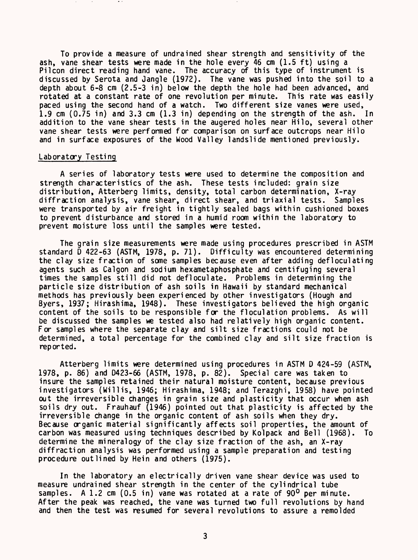To provide a measure of undrained shear strength and sensitivity of the ash, vane shear tests were made in the hole every 46 cm (1.5 ft) using a Pilcon direct reading hand vane. The accuracy of this type of instrument is discussed by Serota and Jangle (1972). The vane was pushed into the soil to a depth about 6-8 cm (2.5-3 in) below the depth the hole had been advanced, and rotated at a constant rate of one revolution per minute. This rate was easily paced using the second hand of a watch. Two different size vanes were used, 1.9 cm (0.75 in) and 3.3 cm (1.3 in) depending on the strength of the ash. In addition to the vane shear tests in the augered holes near Hilo, several other vane shear tests were performed for comparison on surface outcrops near Hilo and in surface exposures of the Wood Valley landslide mentioned previously.

#### Laboratory Testing

A series of laboratory tests were used to determine the composition and strength characteristics of the ash. These tests included: grain size distribution, Atterberg limits, density, total carbon determination, X-ray diffraction analysis, vane shear, direct shear, and triaxial tests. Samples were transported by air freight in tightly sealed bags within cushioned boxes to prevent disturbance and stored in a humid room within the laboratory to prevent moisture loss until the samples were tested.

The grain size measurements were made using procedures prescribed in ASTM standard D 422-63 (ASTM, 1978, p. 71). Difficulty was encountered determining the clay size fraction of some samples because even after adding defloculating agents such as Calgon and sodium hexametaphosphate and centifuging several times the samples still did not defloculate. Problems in determining the particle size distribution of ash soils in Hawaii by standard mechanical methods has previously been experienced by other investigators (Hough and Byers, 1937; Hirashima, 1948). These investigators believed the high organic content of the soils to be responsible for the floculation problems. As will be discussed the samples we tested also had relatively high organic content. For samples where the separate clay and silt size fractions could not be determined, a total percentage for the combined clay and silt size fraction is reported.

Atterberg limits were determined using procedures in ASTM D 424-59 (ASTM, 1978, p. 86) and D423-66 (ASTM, 1978, p. 82). Special care was taken to insure the samples retained their natural moisture content, because previous investigators (Willis, 1946; Hirashima, 1948; and Terazghi, 1958) have pointed out the irreversible changes in grain size and plasticity that occur when ash soils dry out. Frauhauf (1946) pointed out that plasticity is affected by the irreversible change in the organic content of ash soils when they dry. Because organic material significantly affects soil properties, the amount of carbon was measured using techniques described by Kolpack and Bell (1968). To determine the mineralogy of the clay size fraction of the ash, an X-ray diffraction analysis was performed using a sample preparation and testing procedure outlined by Hein and others (1975).

In the laboratory an electrically driven vane shear device was used to measure undrained shear strength in the center of the cylindrical tube samples. A 1.2 cm (0.5 in) vane was rotated at a rate of 90<sup>0</sup> per minute. After the peak was reached, the vane was turned two full revolutions by hand and then the test was resumed for several revolutions to assure a remolded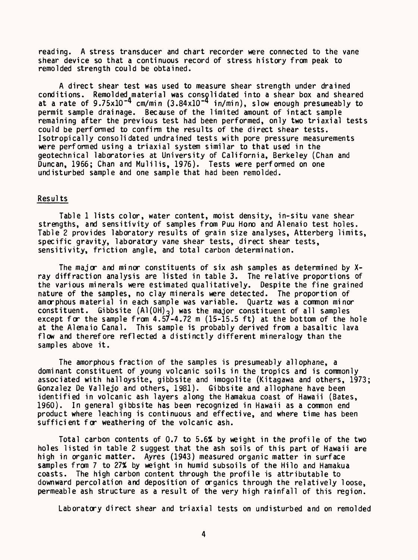reading. A stress transducer and chart recorder were connected to the vane shear device so that a continuous record of stress history from peak to remolded strength could be obtained.

A direct shear test was used to measure shear strength under drained conditions. Remolded material was consolidated into a shear box and sheared at a rate of 9.75x10<sup>-4</sup> cm/min (3.84x10<sup>-4</sup> in/min), slow enough presumeably to permit sample drainage. Because of the limited amount of intact sample remaining after the previous test had been performed, only two triaxial tests could be performed to confirm the results of the direct shear tests. Isotropically consolidated undrained tests with pore pressure measurements were performed using a triaxial system similar to that used in the geotechnical laboratories at University of California, Berkeley (Chan and Duncan, 1966; Chan and Mulilis, 1976). Tests were performed on one undisturbed sample and one sample that had been remolded.

# Results

Table 1 lists color, water content, moist density, in-situ vane shear strengths, and sensitivity of samples from Puu Hono and Alenaio test holes. Table 2 provides laboratory results of grain size analyses, Atterberg limits, specific gravity, laboratory vane shear tests, direct shear tests, sensitivity, friction angle, and total carbon determination.

The major and minor constituents of six ash samples as determined by Xray diffraction analysis are listed in table 3. The relative proportions of the various minerals were estimated qualitatively. Despite the fine grained nature of the samples, no clay minerals were detected. The proportion of amorphous material in each sample was variable. Quartz was a common minor constituent. Gibbsite  $(A1(OH)_3)$  was the major constituent of all samples except for the sample from 4.57-4.72 m (15-15.5 ft) at the bottom of the hole at the Alenaio Canal. This sample is probably derived from a basaltic lava flow and therefore reflected a distinctly different mineralogy than the samples above it.

The amorphous fraction of the samples is presumeably allophane, a dominant constituent of young volcanic soils in the tropics and is commonly associated with halloysite, gibbsite and imogolite (Kitagawa and others, 1973; Gonzalez De Vallejo and others, 1981). Gibbsite and allophane have been identified in volcanic ash layers along the Hamakua coast of Hawaii (Bates, 1960). In general gibbsite has been recognized in Hawaii as a common end product where leaching is continuous and effective, and where time has been sufficient for weathering of the volcanic ash.

Total carbon contents of 0.7 to 5.6% by weight in the profile of the two holes listed in table 2 suggest that the ash soils of this part of Hawaii are high in organic matter. Ayres (1943) measured organic matter in surface samples from 7 to 27% by weight in humid subsoils of the Hilo and Hamakua coasts. The high carbon content through the profile is attributable to downward percolation and deposition of organics through the relatively loose, permeable ash structure as a result of the very high rainfall of this region.

Laboratory direct shear and triaxial tests on undisturbed and on remolded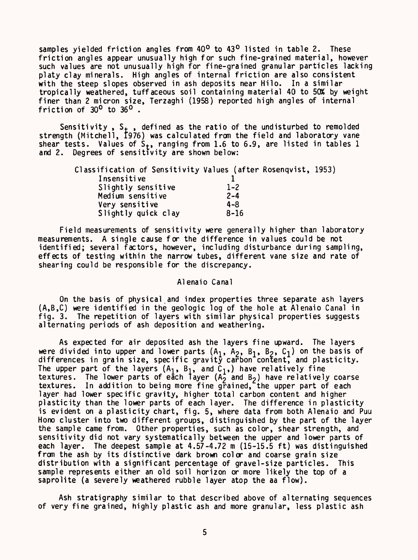samples yielded friction angles from  $40^{\circ}$  to  $43^{\circ}$  listed in table 2. These friction angles appear unusually high for such fine-grained material, however such values are not unusually high for fine-grained granular particles lacking platy clay minerals. High angles of internal friction are also consistent with the steep slopes observed in ash deposits near Hilo. In a similar tropically weathered, tuffaceous soil containing material 40 to 50% by weight finer than 2 micron size, Terzaghi (1958) reported high angles of internal friction of  $30^0$  to  $36^0$ .

Sensitivity,  $S_+$ , defined as the ratio of the undisturbed to remolded strength (Mitchell, 1976) was calculated from the field and laboratory vane shear tests. Values of  $S_t$ , ranging from 1.6 to 6.9, are listed in tables 1 and 2. Degrees of sensitivity are shown below:

| Classification of Sensitivity Values (after Rosenqvist, 1953) |          |  |
|---------------------------------------------------------------|----------|--|
| Insensitive                                                   |          |  |
| Slightly sensitive                                            | $1 - 2$  |  |
| Medium sensitive                                              | $2 - 4$  |  |
| Very sensitive                                                | $4 - 8$  |  |
| Slightly quick clay                                           | $8 - 16$ |  |

Field measurements of sensitivity were generally higher than laboratory measurements. A single cause for the difference in values could be not identified; several factors, however, including disturbance during sampling, effects of testing within the narrow tubes, different vane size and rate of shearing could be responsible for the discrepancy.

## Alenaio Canal

On the basis of physical and index properties three separate ash layers (A,B,C) were identified in the geologic log of the hole at Alenaio Canal in fig. 3. The repetition of layers with similar physical properties suggests alternating periods of ash deposition and weathering.

As expected for air deposited ash the layers fine upward. The layers were divided into upper and lower parts  $(A_1, A_2, B_1, B_2, C_1)$  on the basis of differences in grain size, specific gravity carbon content, and plasticity. The upper part of the layers  $(A_1, B_1, \text{ and } C_1)$ , have relatively fine textures. The lower parts of each layer  $(A_2)$  and  $B_2$ ) have relatively coarse textures. In addition to being more fine grained, the upper part of each layer had lower specific gravity, higher total carbon content and higher plasticity than the lower parts of each layer. The difference in plasticity is evident on a plasticity chart, fig. 5, where data from both Alenaio and Puu Hono cluster into two different groups, distinguished by the part of the layer the sample came from. Other properties, such as color, shear strength, and sensitivity did not vary systematically between the upper and lower parts of each layer. The deepest sample at 4.57-4.72 m (15-15.5 ft) was distinguished from the ash by its distinctive dark brown color and coarse grain size distribution with a significant percentage of gravel-size particles. This sample represents either an old soil horizon or more likely the top of a saprolite (a severely weathered rubble layer atop the aa flow).

Ash stratigraphy similar to that described above of alternating sequences of very fine grained, highly plastic ash and more granular, less plastic ash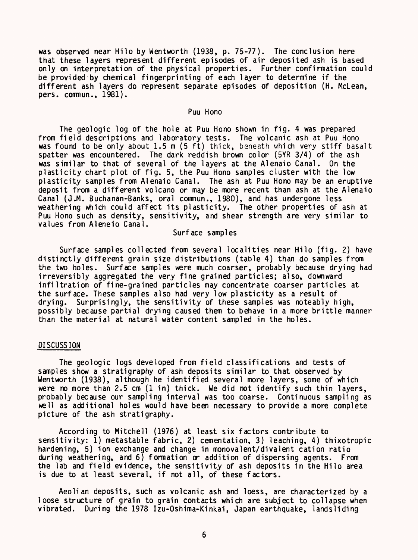was observed near Hilo by Wentworth (1938, p. 75-77). The conclusion here that these layers represent different episodes of air deposited ash is based only on interpretation of the physical properties. Further confirmation could be provided by chemical fingerprinting of each layer to determine if the different ash layers do represent separate episodes of deposition (H. McLean, pers. commun., 1981).

## Puu Hono

The geologic log of the hole at Puu Hono shown in fig. 4 was prepared from field descriptions and laboratory tests. The volcanic ash at Puu Hono was found to be only about 1.5 m (5 ft) thick, beneath which very stiff basalt spatter was encountered. The dark reddish brown color (SYR 3/4) of the ash was similar to that of several of the layers at the Alenaio Canal. On the plasticity chart plot of fig. 5, the Puu Hono samples cluster with the low plasticity samples from Alenaio Canal. The ash at Puu Hono may be an eruptive deposit from a different volcano or may be more recent than ash at the Alenaio Canal (J.M. Buchanan-Banks, oral comnun., 1980), and has undergone less weathering which could affect its plasticity. The other properties of ash at Puu Hono such as density, sensitivity, and shear strength are very similar to values from Aleneio Canal.

# Surface samples

Surface samples collected from several localities near Hilo (fig. 2) have distinctly different grain size distributions (table 4) than do samples from the two holes. Surface samples were much coarser, probably because drying had irreversibly aggregated the very fine grained particles; also, downward infiltration of fine-grained particles may concentrate coarser particles at the surface. These samples also had very low plasticity as a result of drying. Surprisingly, the sensitivity of these samples was noteably high, possibly because partial drying caused them to behave in a more brittle manner than the material at natural water content sampled in the holes.

#### DISCUSSION

The geologic logs developed from field classifications and tests of samples show a stratigraphy of ash deposits similar to that observed by Wentworth (1938), although he identified several more layers, some of which were no more than  $2.5 \text{ cm}$  (1 in) thick. We did not identify such thin layers, probably because our sampling interval was too coarse. Continuous sampling as well as additional holes would have been necessary to provide a more complete picture of the ash stratigraphy.

According to Mitchell (1976) at least six factors contribute to sensitivity: 1) metastable fabric, 2) cementation, 3) leaching, 4) thixotropic hardening, 5) ion exchange and change in monovalent/divalent cation ratio during weathering, and 6) formation or addition of dispersing agents. From the lab and field evidence, the sensitivity of ash deposits in the Hilo area is due to at least several, if not all, of these factors.

Aeolian deposits, such as volcanic ash and loess, are characterized by a loose structure of grain to grain contacts which are subject to collapse when vibrated. During the 1978 Izu-Oshima-Kinkai, Japan earthquake, landsliding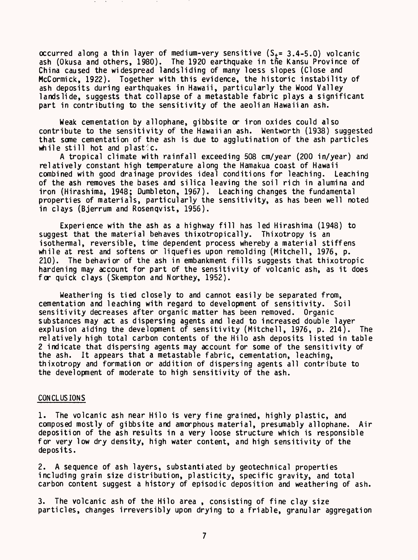occurred along a thin layer of medium-very sensitive  $(S_{+} = 3.4 - 5.0)$  volcanic ash (Okusa and others, 1980). The 1920 earthquake in the Kansu Province of China caused the widespread landsliding of many loess slopes (Close and McCormick, 1922). Together with this evidence, the historic instability of ash deposits during earthquakes in Hawaii, particularly the Wood Valley landslide, suggests that collapse of a metastable fabric plays a significant part in contributing to the sensitivity of the aeolian Hawaiian ash.

Weak cementation by allophane, gibbsite or iron oxides could also contribute to the sensitivity of the Hawaiian ash. Wentworth (1938) suggested that some cementation of the ash is due to agglutination of the ash particles while still hot and plastic.

A tropical climate with rainfall exceeding 508 cm/year (200 in/year) and relatively constant high temperature along the Hamakua coast of Hawaii combined with good drainage provides ideal conditions for leaching. Leaching of the ash removes the bases and silica leaving the soil rich in alumina and iron (Hirashima, 1948; Dumbleton, 1967). Leaching changes the fundamental properties of materials, particularly the sensitivity, as has been well noted in clays (Bjerrum and Rosenqvist, 1956).

Experience with the ash as a highway fill has led Hirashima (1948) to suggest that the material behaves thixotropically. Thixotropy is an isothermal, reversible, time dependent process whereby a material stiffens while at rest and softens or liquefies upon remolding (Mitchell, 1976, p. 210). The behavior of the ash in embankment fills suggests that thixotropic hardening may account for part of the sensitivity of volcanic ash, as it does for quick clays (Skempton and Northey, 1952).

Weathering is tied closely to and cannot easily be separated from, cementation and leaching with regard to development of sensitivity. Soil sensitivity decreases after organic matter has been removed. Organic substances may act as dispersing agents and lead to increased double layer explusion aiding the development of sensitivity (Mitchell, 1976, p. 214). The relatively high total carbon contents of the Hilo ash deposits listed in table 2 indicate that dispersing agents may account for some of the sensitivity of the ash. It appears that a metastable fabric, cementation, leaching, thixotropy and formation or addition of dispersing agents all contribute to the development of moderate to high sensitivity of the ash.

#### CONCLUSIONS

1. The volcanic ash near Hilo is very fine grained, highly plastic, and composed mostly of gibbsite and amorphous material, presumably allophane. Air deposition of the ash results in a very loose structure which is responsible for very low dry density, high water content, and high sensitivity of the deposits.

2. A sequence of ash layers, substantiated by geotechnical properties including grain size distribution, plasticity, specific gravity, and total carbon content suggest a history of episodic deposition and weathering of ash.

3. The volcanic ash of the Hilo area , consisting of fine clay size particles, changes irreversibly upon drying to a friable, granular aggregation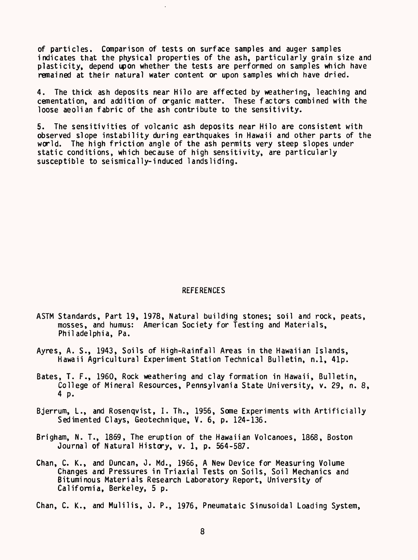of particles. Comparison of tests on surface samples and auger samples indicates that the physical properties of the ash, particularly grain size and plasticity, depend upon whether the tests are performed on samples which have remained at their natural water content or upon samples which have dried.

4. The thick ash deposits near Hilo are affected by weathering, leaching and cementation, and addition of organic matter. These factors combined with the loose aeolian fabric of the ash contribute to the sensitivity.

5. The sensitivities of volcanic ash deposits near Hilo are consistent with observed slope instability during earthquakes in Hawaii and other parts of the world. The high friction angle of the ash permits very steep slopes under static conditions, which because of high sensitivity, are particularly susceptible to seismically-induced landsliding.

#### **REFERENCES**

- ASTM Standards, Part 19, 1978, Natural building stones; soil and rock, peats, mosses, and humus: American Society for Testing and Materials, Philadelphia, Pa.
- Ayres, A. S., 1943, Soils of High-Rainfall Areas in the Hawaiian Islands, Hawaii Agricultural Experiment Station Technical Bulletin, n.l, 41p.
- Bates, T. F., 1960, Rock weathering and clay formation in Hawaii, Bulletin, College of Mineral Resources, Pennsylvania State University, v. 29, n. 8, 4 p.
- Bjerrum, L., and Rosenqvist, I. Th., 1956, Some Experiments with Artificially Sedimented Clays, Geotechnique, V. 6, p. 124-136.
- Brigham, N. T., 1869, The eruption of the Hawaiian Volcanoes, 1868, Boston Journal of Natural History, v. 1, p. 564-587.
- Chan, C. K., and Duncan, J. Md., 1966, A New Device for Measuring Volume Changes and Pressures in Triaxial Tests on Soils, Soil Mechanics and Bituminous Materials Research Laboratory Report, University of California, Berkeley, 5 p.

Chan, C. K., and Mulilis, 0. P., 1976, Pneumataic Sinusoidal Loading System,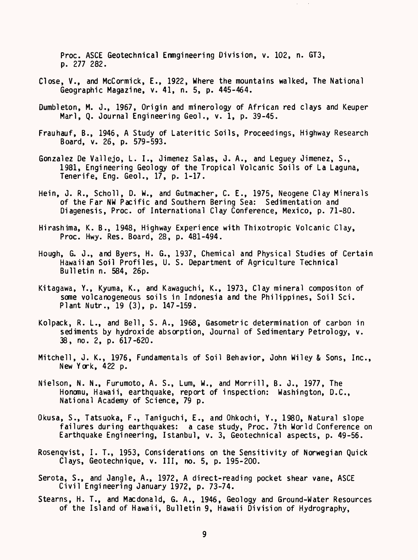Proc. ASCE Geotechnical Enmgineering Division, v. 102, n. GT3, p. 277 282.

- Close, V., and McCormick, E., 1922, Where the mountains walked, The National Geographic Magazine, v. 41, n. 5, p. 445-464.
- Dumbleton, M. J., 1967, Origin and minerology of African red clays and Keuper Marl, Q. Journal Engineering Geol., v. 1, p. 39-45.
- Frauhauf, B., 1946, A Study of Lateritic Soils, Proceedings, Highway Research Board, v. 26, p. 579-593.
- Gonzalez De Vallejo, L. I., Jimenez Salas, J. A., and Leguey Jimenez, S., 1981, Engineering Geology of the Tropical Volcanic Soils of La Laguna, Tenerife, Eng. Geol., 17, p. 1-17.
- Hein, J. R., Scholl, D. W., and Gutmacher, C. E., 1975, Neogene Clay Minerals of the Far NW Pacific and Southern Bering Sea: Sedimentation and Diagenesis, Proc. of International Clay Conference, Mexico, p. 71-80.
- Hirashima, K. B., 1948, Highway Experience with Thixotropic Volcanic Clay, Proc. Hwy. Res. Board, 28, p. 481-494.
- Hough, G. J., and Byers, H. G., 1937, Chemical and Physical Studies of Certain Hawaiian Soil Profiles, U. S. Department of Agriculture Technical Bulletin n. 584, 26p.
- Kitagawa, Y., Kyuma, K., and Kawaguchi, K., 1973, Clay mineral compositon of some volcanogeneous soils in Indonesia and the Philippines, Soil Sci. Plant Nutr., 19 (3), p. 147-159.
- Kolpack, R. L., and Bell, S. A., 1968, Gasometric determination of carbon in sediments by hydroxide absorption, Journal of Sedimentary Petrology, v. 38, no. 2, p. 617-620.
- Mitchell, J. K., 1976, Fundamentals of Soil Behavior, John Wiley & Sons, Inc., New York, 422 p.
- Nielson, N. N., Furumoto, A. S., Lum, W., and Morrill, B. J., 1977, The Honomu, Hawaii, earthquake, report of inspection: Washington, D.C., National Academy of Science, 79 p.
- Okusa, S., Tatsuoka, F., Taniguchi, E., and Ohkochi, Y., 1980, Natural slope failures during earthquakes: a case study, Proc. 7th World Conference on Earthquake Engineering, Istanbul, v. 3, Geotechnical aspects, p. 49-56.
- Rosenqvist, I. T., 1953, Considerations on the Sensitivity of Norwegian Quick Clays, Geotechnique, v. Ill, no. 5, p. 195-200.
- Serota, S., and Jangle, A., 1972, A direct-reading pocket shear vane, ASCE Civil Engineering January 1972, p. 73-74.
- Stearns, H. T., and Macdonald, G. A., 1946, Geology and Ground-Water Resources of the Island of Hawaii, Bulletin 9, Hawaii Division of Hydrography,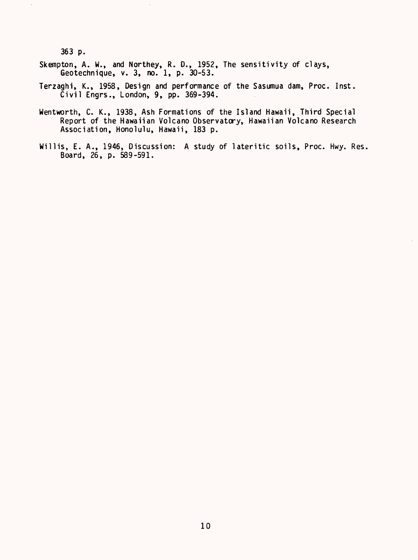363 p.

 $\bar{\mathcal{E}}$ 

Skempton, A. W., and Northey, R. D., 1952, The sensitivity of clays, Geotechnique, v. 3, no. 1, p. 30-53.

 $\mathcal{L}$ 

- Terzaghi, K., 1958, Design and performance of the Sasumua dam, Proc. Inst. Civil Engrs., London, 9, pp. 369-394.
- Wentworth, C. K., 1938, Ash Formations of the Island Hawaii, Third Special Report of the Hawaiian Volcano Observatory, Hawaiian Volcano Research Association, Honolulu, Hawaii, 183 p.
- Willis, E. A., 1946, Discussion: A study of lateritic soils, Proc. Hwy. Res. Board, 26, p. 589-591.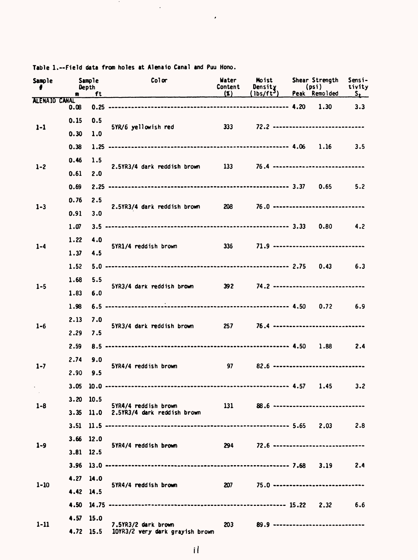| <b>Sample</b> | <b>Sample</b><br>Depth<br>ft |             | Color                                                             | Moist<br>Density<br>(lbs/ft <sup>3</sup> )<br>Content<br>$(\mathbf{x})$ | (psi)                                            | Shear Strength<br>Peak Remolded | Sensi-<br>tivity<br>$S_{\pm}$ |         |
|---------------|------------------------------|-------------|-------------------------------------------------------------------|-------------------------------------------------------------------------|--------------------------------------------------|---------------------------------|-------------------------------|---------|
| ALENAIO CANAL | 0.08                         |             |                                                                   |                                                                         |                                                  |                                 |                               | 3.3     |
|               | 0.15                         | 0.5         |                                                                   |                                                                         |                                                  |                                 |                               |         |
| $1 - 1$       | 0.30                         | 1.0         | 5YR/6 yellowish red 333 72.2 -----------------------------        |                                                                         |                                                  |                                 |                               |         |
|               | 0.38                         |             |                                                                   |                                                                         |                                                  |                                 |                               | 3.5     |
|               | 0.46                         | 1.5         |                                                                   |                                                                         |                                                  |                                 |                               |         |
| $1 - 2$       | 0.61                         | 2.0         | 2.5YR3/4 dark reddish brown 133 76.4 ---------------------------- |                                                                         |                                                  |                                 |                               |         |
|               | 0.69                         |             |                                                                   |                                                                         |                                                  |                                 |                               | 5.2     |
|               | 0.76                         | 2.5         |                                                                   |                                                                         |                                                  |                                 |                               |         |
| $1 - 3$       | 0.91                         |             | 2.5YR3/4 dark reddish brown 208 76.0 ---------------------------- |                                                                         |                                                  |                                 |                               |         |
|               |                              | 3.0         |                                                                   |                                                                         |                                                  |                                 |                               |         |
|               | 1.07                         |             |                                                                   |                                                                         |                                                  |                                 |                               | 4.2     |
| $1 - 4$       | 1.22                         | 4.0         | 5YR1/4 reddish brown                                              |                                                                         | $336 \t 71.9 \t 1.9 \t 1.11$                     |                                 |                               |         |
|               | 1.37                         | 4.5         |                                                                   |                                                                         |                                                  |                                 |                               |         |
|               | 1.52                         |             |                                                                   |                                                                         |                                                  |                                 |                               | 6.3     |
| $1 - 5$       | 1.68                         | 5.5         | 5YR3/4 dark reddish brown 392 74.2 -----------------------------  |                                                                         |                                                  |                                 |                               |         |
|               | 1.83                         | 6.0         |                                                                   |                                                                         |                                                  |                                 |                               |         |
|               | 1.98                         |             |                                                                   |                                                                         |                                                  |                                 |                               | 6.9     |
| $1 - 6$       | 2.13                         | 7.0         | 5YR3/4 dark reddish brown 257 76.4 -----------------------------  |                                                                         |                                                  |                                 |                               |         |
|               | 2.29                         | 7.5         |                                                                   |                                                                         |                                                  |                                 |                               |         |
|               | 2.59                         |             |                                                                   |                                                                         |                                                  |                                 |                               | 2.4     |
| $1 - 7$       | 2.74                         | 9.0         | 5YR4/4 reddish brown                                              |                                                                         | $97 \qquad 82.6 \qquad \qquad$                   |                                 |                               |         |
|               | 2.90                         | 9.5         |                                                                   |                                                                         |                                                  |                                 |                               |         |
|               | 3.05                         |             |                                                                   |                                                                         |                                                  |                                 | 1.45                          | $3 - 2$ |
| $1 - 8$       | $3.20$ 10.5                  |             | 5YR4/4 reddish brown                                              | 131                                                                     | 88.6 *****************************               |                                 |                               |         |
|               |                              | $3.35$ 11.0 | 2.5YR3/4 dark reddish brown                                       |                                                                         |                                                  |                                 |                               |         |
|               |                              |             |                                                                   |                                                                         |                                                  |                                 |                               | 2.8     |
| $1 - 9$       | 3.66 12.0                    |             | 5YR4/4 reddish brown                                              |                                                                         | 72.6 *****************************<br><b>294</b> |                                 |                               |         |
|               | 3.81 12.5                    |             |                                                                   |                                                                         |                                                  |                                 |                               |         |
|               |                              |             |                                                                   |                                                                         |                                                  |                                 |                               | 2.4     |
|               | 4.27 14.0                    |             |                                                                   |                                                                         |                                                  |                                 |                               |         |
| $1 - 10$      | 4.42 14.5                    |             | 5YR4/4 reddish brown                                              | <b>207</b>                                                              | 75.0                                             |                                 |                               |         |
|               | 4.50                         |             |                                                                   |                                                                         |                                                  |                                 |                               | 6.6     |
|               | 4.57 15.0                    |             |                                                                   |                                                                         |                                                  |                                 |                               |         |
| $1 - 11$      |                              | 4.72 15.5   | 7.5YR3/2 dark brown<br>10YR3/2 very dark grayish brown            | 203                                                                     | 89.9                                             |                                 |                               |         |

Table 1.--Field data from holes at Alenaio Canal and Puu Hono.

**Contract Contract** 

 $\hat{\boldsymbol{\cdot}$ 

 $\sim 10^{-11}$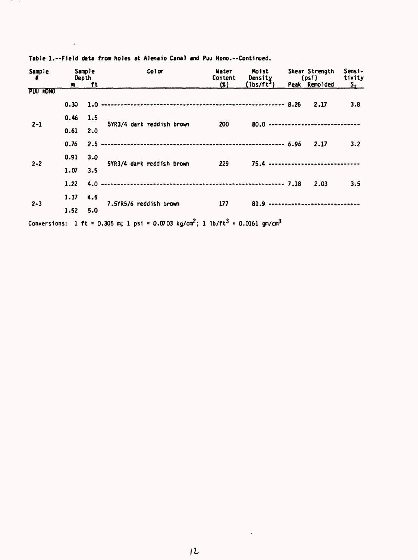| Sample   | Sample<br>Depth  |      | Color                     | Water<br>Content | Moist<br>Density                    | Shear Strength<br>(psi) |                                     | Sensi-<br>tivity |
|----------|------------------|------|---------------------------|------------------|-------------------------------------|-------------------------|-------------------------------------|------------------|
|          |                  | m ft |                           | $(\mathbf{x})$   | (1bs/ft <sup>3</sup> )              |                         | Peak Remolded                       | $S_t$            |
| PUU HONO |                  |      |                           |                  |                                     |                         |                                     |                  |
|          | 0.30             | 1.0  |                           |                  |                                     |                         |                                     | 3.8              |
|          | $0.46$ 1.5       |      |                           |                  |                                     |                         |                                     |                  |
| $2 - 1$  | $0.61 \quad 2.0$ |      | 5YR3/4 dark reddish brown | 200              |                                     |                         | 80.0 ------------------------------ |                  |
|          | 0.76             | 2.5  |                           |                  |                                     |                         |                                     | 3.2              |
| $2 - 2$  | 0.91 3.0         |      | 5YR3/4 dark reddish brown | 229              |                                     |                         | 75.4 ------------------------------ |                  |
|          | 1.07             | 3.5  |                           |                  |                                     |                         |                                     |                  |
|          | 1.22             |      |                           |                  |                                     |                         | 2.03                                | 3.5              |
|          | 1.37             | 4.5  |                           |                  |                                     |                         |                                     |                  |
| $2 - 3$  | 1.52 5.0         |      | 7.5YR5/6 reddish brown    | 177              | 81.9 ------------------------------ |                         |                                     |                  |
|          |                  |      |                           |                  |                                     |                         |                                     |                  |

 $\mathbb{R}^2$ 

Table 1.--Field data from holes at Alenaio Canal and Puu Hono.--Continued.

in the control

 $\mathcal{L}$ 

Conversions: 1 ft = 0.305 m; 1 psi = 0.0703 kg/cm<sup>2</sup>; 1 lb/ft<sup>3</sup> = 0.0161 gm/cm<sup>3</sup>

 $\bar{\alpha}$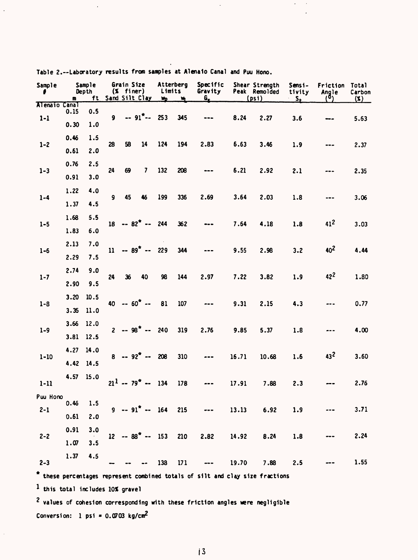| Sample                             | m    | Sample<br>Depth<br>ft |              | Grain Size<br>$(X$ finer) | Sand Silt Clay           | Limits<br>Wp | Atterberg<br>W       | Specific<br>Gravity<br>$\mathbf{G}_{\mathbf{c}}$                              |                        | Shear Strength<br>Peak Remolded<br>(psi) | Sensi-<br>tivity<br>$S_{+}$ | Friction<br>Angle<br>(0) | Total<br>Carbon<br>$(\mathbf{x})$ |      |  |  |  |  |
|------------------------------------|------|-----------------------|--------------|---------------------------|--------------------------|--------------|----------------------|-------------------------------------------------------------------------------|------------------------|------------------------------------------|-----------------------------|--------------------------|-----------------------------------|------|--|--|--|--|
| Alenaio Canal                      | 0.15 | 0.5                   |              |                           |                          |              |                      |                                                                               |                        |                                          |                             |                          |                                   |      |  |  |  |  |
| $1 - 1$                            | 0.30 | 1.0                   | $\mathbf{9}$ |                           | $-91$ <sup>7</sup> $-$   | 253          | 345                  | ---                                                                           | 8.24                   | 2.27                                     | 3.6                         |                          | 5.63                              |      |  |  |  |  |
|                                    | 0.46 | 1.5                   |              |                           |                          |              |                      |                                                                               |                        |                                          |                             |                          |                                   |      |  |  |  |  |
| $1 - 2$                            | 0.61 | 2.0                   | 28           | 58                        | 14                       | 124          | 194                  | 2.83                                                                          | 6.63                   | 3.46                                     | 1.9                         |                          | 2.37                              |      |  |  |  |  |
|                                    | 0.76 | 2.5                   |              |                           |                          |              |                      |                                                                               |                        |                                          |                             |                          |                                   |      |  |  |  |  |
| $1 - 3$                            | 0.91 | 3.0                   | 24           | 69                        | 7                        | 132          | 208                  |                                                                               | 6.21                   | 2.92                                     | 2.1                         |                          | 2.35                              |      |  |  |  |  |
|                                    | 1.22 | 4.0                   |              |                           |                          |              |                      |                                                                               |                        |                                          |                             |                          |                                   |      |  |  |  |  |
| $1 - 4$                            | 1.37 | 4.5                   | $\mathbf{9}$ | 45                        | 46                       | 199          | 336                  | 2.69                                                                          | 3.64                   | 2.03                                     | 1.8                         |                          | 3.06                              |      |  |  |  |  |
|                                    | 1.68 | 5.5                   |              |                           |                          |              |                      |                                                                               |                        |                                          |                             |                          |                                   |      |  |  |  |  |
| $1 - 5$                            | 1.83 | 6.0                   |              |                           | $18 - 82^{*} -$          | 244          | 362                  |                                                                               | 7.64                   | 4.18                                     | 1.8                         | 412                      | 3.03                              |      |  |  |  |  |
|                                    | 2.13 | 7.0                   |              |                           |                          |              |                      |                                                                               |                        |                                          |                             | 40 <sup>2</sup>          | 4.44                              |      |  |  |  |  |
| $1 - 6$                            | 2.29 | 7.5                   | $\mathbf{u}$ |                           | $-89$ * $-$              |              | 229                  | 344                                                                           |                        | 9.55                                     | 2.98                        | 3.2                      |                                   |      |  |  |  |  |
|                                    | 2.74 | 9.0                   |              | 36                        | 40                       | 98           | 144                  | 2.97                                                                          | 7.22                   | 3.82                                     | 1.9                         | 422                      | 1.80                              |      |  |  |  |  |
| $1 - 7$                            | 2.90 | 24<br>9.5             |              |                           |                          |              |                      |                                                                               |                        |                                          |                             |                          |                                   |      |  |  |  |  |
| $1 - 8$                            | 3.20 | 10.5                  | 40           | $-60$ $-$                 |                          | 81           | 107                  |                                                                               | 9.31                   | 2.15                                     | 4.3                         |                          | 0.77                              |      |  |  |  |  |
|                                    | 3.35 | 11.0                  |              |                           |                          |              |                      |                                                                               |                        |                                          |                             |                          |                                   |      |  |  |  |  |
| $1 - 9$                            | 3.66 | 12.0                  |              |                           | $2 - 98$ <sup>*</sup> -- | 240          | 319                  | 2.76                                                                          | 9.85                   | 5.37                                     | 1.8                         |                          | 4.00                              |      |  |  |  |  |
|                                    | 3.81 | 12.5                  |              |                           |                          |              |                      |                                                                               |                        |                                          |                             |                          |                                   |      |  |  |  |  |
| $1 - 10$                           | 4.27 | 14.0                  |              |                           |                          | $8 - 92^* -$ | 208                  | 310                                                                           | $\qquad \qquad \cdots$ | 16.71                                    | 10.68                       | 1.6                      | $43^2$                            | 3.60 |  |  |  |  |
|                                    | 4.42 | 14.5                  |              |                           |                          |              |                      |                                                                               |                        |                                          |                             |                          |                                   |      |  |  |  |  |
| $1 - 11$                           | 4.57 | 15.0                  |              |                           | $21^{1} - 79^{*} -$      | 134          | 178                  |                                                                               | 17.91                  | 7.88                                     | 2.3                         |                          | 2.76                              |      |  |  |  |  |
| Puu Hono                           | 0.46 | 1.5                   |              |                           |                          |              |                      |                                                                               |                        |                                          |                             |                          |                                   |      |  |  |  |  |
| $2 - 1$                            | 0.61 | 2.0                   |              |                           |                          |              | $9 - 91^* - 164$ 215 | $\overline{\phantom{a}}$                                                      |                        | 13.13 6.92                               | 1.9                         |                          | 3.71                              |      |  |  |  |  |
|                                    | 0.91 | 3.0                   |              |                           |                          |              |                      |                                                                               |                        |                                          |                             |                          |                                   |      |  |  |  |  |
| $2 - 2$                            | 1.07 | 3.5                   |              |                           |                          |              |                      | $12 - 88^* - 153$ 210 2.82                                                    |                        | 14.92 8.24                               | 1.8                         |                          | 2.24                              |      |  |  |  |  |
|                                    | 1.37 | 4.5                   |              |                           |                          |              |                      |                                                                               |                        |                                          |                             |                          |                                   |      |  |  |  |  |
| $2 - 3$                            |      |                       |              |                           |                          | 138          | 171                  |                                                                               | 19.70                  | 7.88                                     | 2.5                         |                          | 1.55                              |      |  |  |  |  |
|                                    |      |                       |              |                           |                          |              |                      | * these percentages represent combined totals of silt and clay size fractions |                        |                                          |                             |                          |                                   |      |  |  |  |  |
| $1$ this total includes 10% gravel |      |                       |              |                           |                          |              |                      |                                                                               |                        |                                          |                             |                          |                                   |      |  |  |  |  |

 $\bar{\gamma}$ 

 $\hat{\boldsymbol{\epsilon}}$ 

Table 2. Laboratory results from samples at Alenalo Canal and Puu Mono.

 $\bar{z}$ 

2 values of cohesion corresponding with these friction angles were negligible Conversion: 1 psi =  $0.0703$  kg/cm<sup>2</sup>

 $\hat{\mathcal{A}}$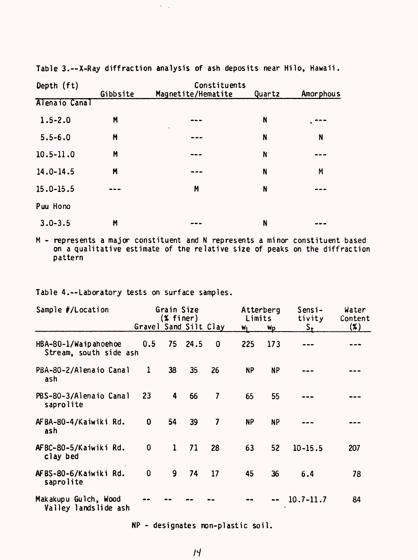Table 3.--X-Ray diffraction analysis of ash deposits near Hilo, Hawaii.

 $\epsilon_{\rm{max}}$ 

| Depth (ft)    | Constituents |                    |        |           |  |  |  |
|---------------|--------------|--------------------|--------|-----------|--|--|--|
|               | Gibbsite     | Magnetite/Hematite | Quartz | Amorphous |  |  |  |
| Alenaio Canal |              |                    |        |           |  |  |  |
| $1.5 - 2.0$   | M            | ---                | N      | .         |  |  |  |
| $5.5 - 6.0$   | M            |                    | N      | N         |  |  |  |
| $10.5 - 11.0$ | M            |                    | N      |           |  |  |  |
| $14.0 - 14.5$ | M            |                    | N      | M         |  |  |  |
| $15.0 - 15.5$ |              | M                  | N      |           |  |  |  |
| Puu Hono      |              |                    |        |           |  |  |  |
| $3.0 - 3.5$   | M            |                    | N      |           |  |  |  |

M - represents a major constituent and N represents a minor constituent based on a qualitative estimate of the relative size of peaks on the diffraction pattern

Table 4.--Laboratory tests on surface samples.

| Sample #/Location                              |                       | Grain Size<br>$(X$ finer) |         |                         | Limits    | Atterberg     | Sensi-<br>tivity | Water<br>Content |
|------------------------------------------------|-----------------------|---------------------------|---------|-------------------------|-----------|---------------|------------------|------------------|
|                                                | Gravel Sand Silt Clay |                           |         |                         | WĮ        | <b>Wp</b>     | $S_{\pm}$        | $(\mathbf{x})$   |
| HBA-80-1/Waipahoehoe<br>Stream, south side ash | 0.5                   |                           | 75 24.5 | 0                       | 225       | 173           |                  |                  |
| PBA-80-2/Alenaio Canal<br>ash                  | 1                     | 38                        | 35      | 26                      | <b>NP</b> | <b>NP</b>     |                  |                  |
| PBS-80-3/Alenaio Canal<br>saprolite            | 23                    | 4                         | 66      | $\overline{\mathbf{z}}$ | 65        | 55            |                  |                  |
| AFBA-80-4/Kaiwiki Rd.<br>ash                   | 0                     | 54                        | 39      | $\overline{\mathbf{z}}$ | <b>NP</b> | <b>NP</b>     |                  |                  |
| AFBC-80-5/Kaiwiki Rd.<br>clay bed              | $\mathbf 0$           | $\mathbf{1}$              | 71      | 28                      | 63        | 52            | $10 - 15.5$      | 207              |
| AFBS-80-6/Kaiwiki Rd.<br>saprolite             | 0                     | 9                         | 74      | 17                      | 45        | 36            | 6.4              | 78               |
| Makakupu Gulch, Wood<br>Valley landslide ash   |                       |                           |         |                         |           | $\frac{1}{2}$ | $10.7 - 11.7$    | 84               |

NP - designates non-plastic soil.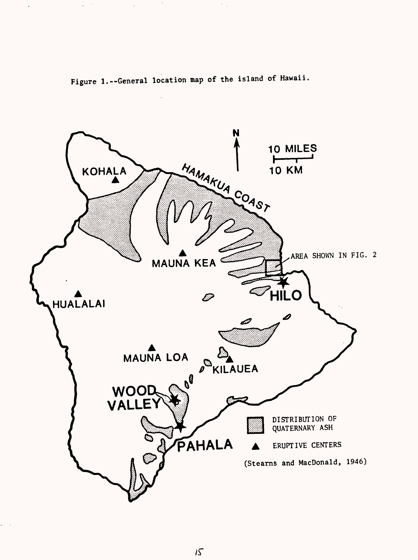

Figure 1.--General location map of the island of Hawaii.

 $\lambda$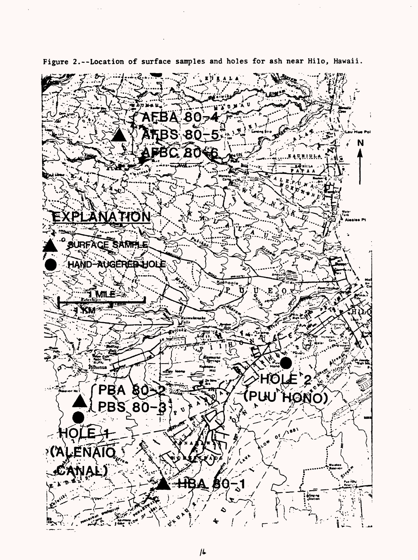

Figure 2.--Location of surface samples and holes for ash near Hilo, Hawaii.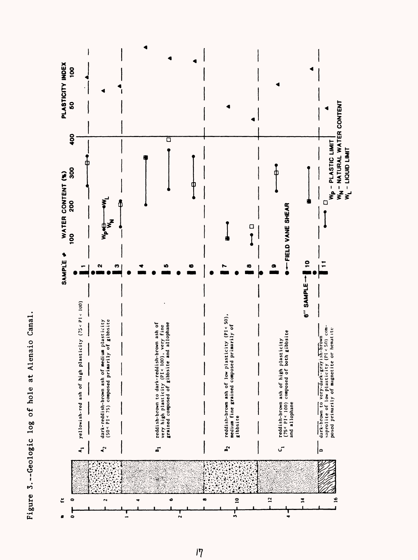

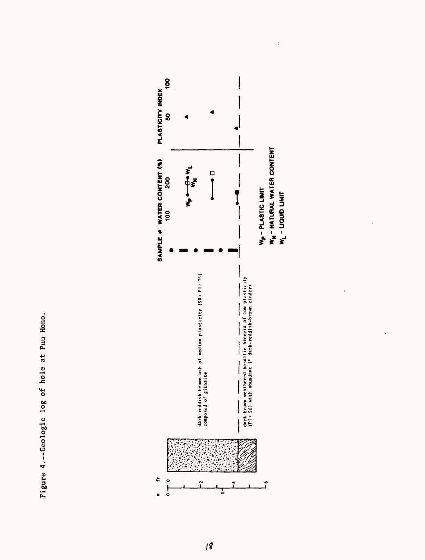Figure 4.--Geologic log of hole at Puu Hono. Figure 4. Geologic log of hole at Puu Hono.



.